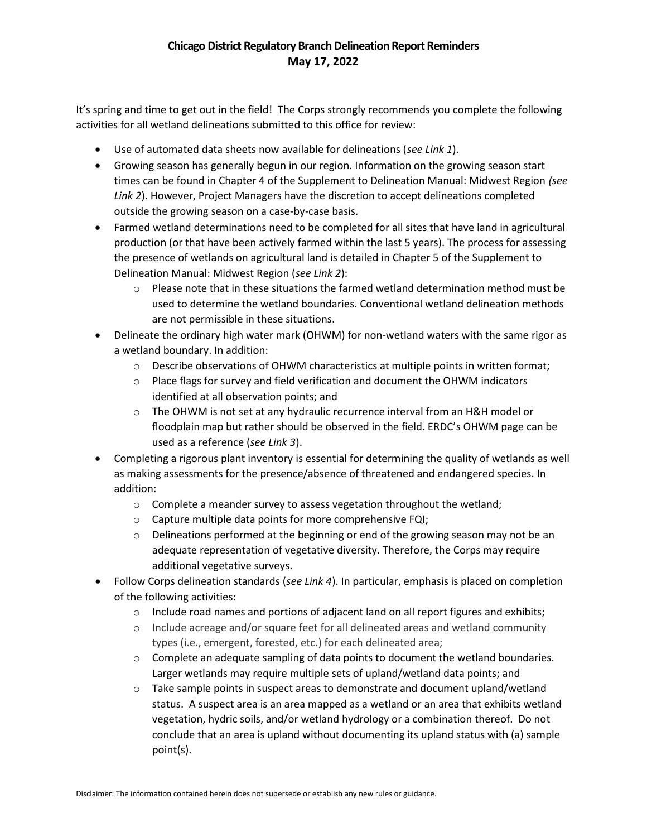## Chicago District Regulatory Branch Delineation Report Reminders May 17, 2022

 It's spring and time to get out in the field! The Corps strongly recommends you complete the following activities for all wetland delineations submitted to this office for review:

- Use of automated data sheets now available for delineations (see Link 1).
- Growing season has generally begun in our region. Information on the growing season start times can be found in Chapter 4 of the Supplement to Delineation Manual: Midwest Region (see Link 2). However, Project Managers have the discretion to accept delineations completed outside the growing season on a case-by-case basis.
- Farmed wetland determinations need to be completed for all sites that have land in agricultural production (or that have been actively farmed within the last 5 years). The process for assessing the presence of wetlands on agricultural land is detailed in Chapter 5 of the Supplement to Delineation Manual: Midwest Region (see Link 2):
	- $\circ$  Please note that in these situations the farmed wetland determination method must be used to determine the wetland boundaries. Conventional wetland delineation methods are not permissible in these situations.
- Delineate the ordinary high water mark (OHWM) for non-wetland waters with the same rigor as a wetland boundary. In addition:
	- $\circ$  Describe observations of OHWM characteristics at multiple points in written format;
	- $\circ$  Place flags for survey and field verification and document the OHWM indicators identified at all observation points; and
	- o The OHWM is not set at any hydraulic recurrence interval from an H&H model or floodplain map but rather should be observed in the field. ERDC's OHWM page can be used as a reference (see Link 3).
- Completing a rigorous plant inventory is essential for determining the quality of wetlands as well as making assessments for the presence/absence of threatened and endangered species. In addition:
	- o Complete a meander survey to assess vegetation throughout the wetland;
	- o Capture multiple data points for more comprehensive FQI;
	- $\circ$  Delineations performed at the beginning or end of the growing season may not be an adequate representation of vegetative diversity. Therefore, the Corps may require additional vegetative surveys.
- Follow Corps delineation standards (see Link 4). In particular, emphasis is placed on completion of the following activities:
	- $\circ$  Include road names and portions of adjacent land on all report figures and exhibits;
	- o Include acreage and/or square feet for all delineated areas and wetland community types (i.e., emergent, forested, etc.) for each delineated area;
	- $\circ$  Complete an adequate sampling of data points to document the wetland boundaries. Larger wetlands may require multiple sets of upland/wetland data points; and
	- o Take sample points in suspect areas to demonstrate and document upland/wetland status. A suspect area is an area mapped as a wetland or an area that exhibits wetland vegetation, hydric soils, and/or wetland hydrology or a combination thereof. Do not conclude that an area is upland without documenting its upland status with (a) sample point(s).